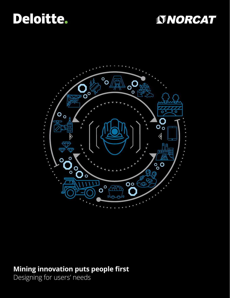# Deloitte.





### **Mining innovation puts people first**

Designing for users' needs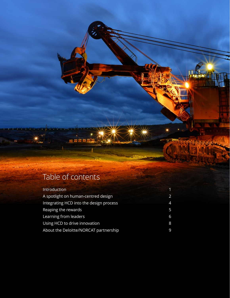### Table of contents

| Introduction                            |                |
|-----------------------------------------|----------------|
| A spotlight on human-centred design     | $\overline{2}$ |
| Integrating HCD into the design process | 4              |
| Reaping the rewards                     | 5              |
| Learning from leaders                   | 6              |
| Using HCD to drive innovation           | 8              |
| About the Deloitte/NORCAT partnership   | q              |

W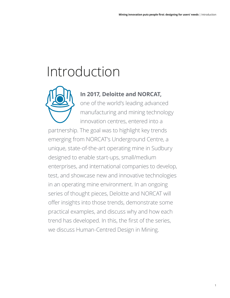# Introduction



### **In 2017, Deloitte and NORCAT,**

one of the world's leading advanced manufacturing and mining technology innovation centres, entered into a

partnership. The goal was to highlight key trends emerging from NORCAT's Underground Centre, a unique, state-of-the-art operating mine in Sudbury designed to enable start-ups, small/medium enterprises, and international companies to develop, test, and showcase new and innovative technologies in an operating mine environment. In an ongoing series of thought pieces, Deloitte and NORCAT will offer insights into those trends, demonstrate some practical examples, and discuss why and how each trend has developed. In this, the first of the series, we discuss Human-Centred Design in Mining.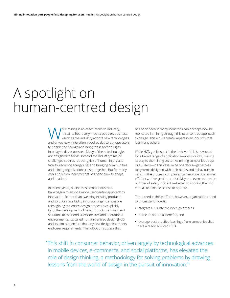## A spotlight on human-centred design

While mining is an asset intensive industry,<br>it is at its heart very much a people's busing which as the industry adopts new techno<br>and divers new innovation, requires day to day one it is at its heart very much a people's business, which as the industry adopts new technologies and drives new innovation, requires day to day operators to enable the change and bring these technologies into day to day processes. Many of these technologies are designed to tackle some of the industry's major challenges such as reducing risk of human injury and fatality, reducing energy use, and bringing communities and mining organizations closer together. But for many years, this is an industry that has been slow to adapt and to adopt.

In recent years, businesses across industries have begun to adopt a more user-centric approach to innovation. Rather than tweaking existing products and solutions in a bid to innovate, organizations are reimagining the entire design process by explicitly tying the development of new products, services, and solutions to their end-users' desires and operational environments. It's called human-centred design (HCD) and its aim is to ensure that any new design first meets end-user requirements. The adoption success that

has been seen in many industries can perhaps now be replicated in mining through this user-centred approach to design. This would create impact in an industry that lags many others.

While HCD got its start in the tech world, it is now used for a broad range of applications—and is quickly making its way to the mining sector. As mining companies adopt HCD, users—in this case, mine operators—get access to systems designed with their needs and behaviours in mind. In the process, companies can improve operational efficiency, drive greater productivity, and even reduce the number of safety incidents—better positioning them to earn a sustainable license to operate.

To succeed in these efforts, however, organizations need to understand how to:

- **•** integrate HCD into their design process,
- **•** realize its potential benefits, and
- **•** leverage best practice learnings from companies that have already adopted HCD.

"This shift in consumer behavior, driven largely by technological advances in mobile devices, e-commerce, and social platforms, has elevated the role of design thinking, a methodology for solving problems by drawing lessons from the world of design in the pursuit of innovation."1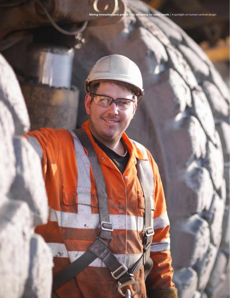ō

r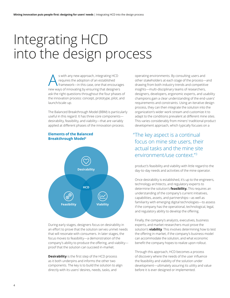# Integrating HCD into the design process

s with any new approach, integrating HCD<br>requires the adoption of an established<br>framework—in this case, one that encoura requires the adoption of an established framework—in this case, one that encourages new ways of innovating by ensuring that designers ask the right questions throughout the four phases of the innovation process: concept, prototype, pilot, and launch/scale-up.

The Balanced Breakthrough Model (BBM) is particularly useful in this regard. It has three core components desirability, feasibility, and viability—that are variably applied at different phases of the innovation process.



#### **Elements of the Balanced Breakthrough Model<sup>2</sup>**

During early stages, designers focus on desirability in an effort to prove that the solution serves unmet needs that will resonate with consumers. In later stages, the focus moves to feasibility—a demonstration of the company's ability to produce the offering, and viability proof that the solution can succeed in-market.

**Desirability** is the first step of the HCD process as it both underpins and informs the other two components. The key is to build the solution to align directly with its users' desires, needs, tasks, and

operating environments. By consulting users and other stakeholders at each stage of the process—and drawing from both industry trends and competitive insights—multi-disciplinary teams of researchers, designers, developers, ergonomic experts, and usability champions gain a clear understanding of the end-users' requirements and constraints. Using an iterative design process, they can then integrate the solution into the organization's wider work stream and customize it to adapt to the conditions prevalent at different mine sites. This varies considerably from miners' traditional product development approach, which typically focuses on a

### "The key aspect is a continual focus on mine site users, their actual tasks and the mine site environment/use context."3

product's feasibility and viability with little regard to the day-to-day needs and activities of the mine operator.

Once desirability is established, it's up to the engineers, technology architects, and regulatory experts to determine the solution's **feasibility.** This requires an understanding of the company's current initiatives, capabilities, assets, and partnerships—as well as familiarity with emerging digital technologies—to assess if the company has the operational, technological, legal, and regulatory ability to develop the offering.

Finally, the company's analysts, executives, business experts, and market researchers must prove the solution's **viability**. This involves determining how to test the offering in-market, if the company's business model can accommodate the solution, and what economic benefit the company hopes to realize upon rollout.

Through this approach, HCD becomes a process of discovery where the needs of the user influence the feasibility and viability of the solution under development—ultimately assuring its utility and value before it is ever designed or implemented.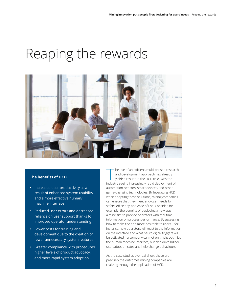# Reaping the rewards



#### **The benefits of HCD**

- Increased user productivity as a result of enhanced system usability and a more effective human/ machine interface
- Reduced user errors and decreased reliance on user support thanks to improved operator understanding
- Lower costs for training and development due to the creation of fewer unnecessary system features
- Greater compliance with procedures, higher levels of product advocacy, and more rapid system adoption

The use of an efficient, multi-phased research<br>and development approach has already<br>yielded results in the HCD field, with the<br>industry socing increasingly rapid deployment of and development approach has already yielded results in the HCD field, with the industry seeing increasingly rapid deployment of automation, sensors, smart devices, and other game-changing technologies. By leveraging HCD when adopting these solutions, mining companies can ensure that they meet end-user needs for safety, efficiency, and ease of use. Consider, for example, the benefits of deploying a new app in a mine site to provide operators with real-time information on process performance. By assessing how to make the app more desirable to users—for instance, how operators will react to the information on the interface and what neurological triggers will be activated—a company can not only help optimize the human machine interface, but also drive higher user adoption rates and help change behaviours.

As the case studies overleaf show, these are precisely the outcomes mining companies are realizing through the application of HCD.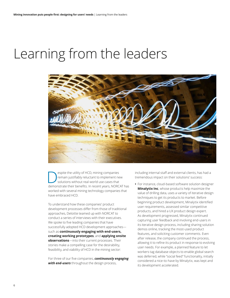# Learning from the leaders



Sepite the utility of HCD, mining companies<br>
semain justifiably reluctant to implement ne<br>
solutions without real-world use cases that<br>
demonstrate big booglife in googlife and the NODC remain justifiably reluctant to implement new solutions without real-world use cases that demonstrate their benefits. In recent years, NORCAT has worked with several mining technology companies that have embraced HCD.

To understand how these companies' product development processes differ from those of traditional approaches, Deloitte teamed up with NORCAT to conduct a series of interviews with their executives. We spoke to five leading companies that have successfully adopted HCD development approaches such as **continuously engaging with end-users, creating working prototypes**, and **applying onsite observations**—into their current processes. Their stories make a compelling case for the desirability, feasibility, and viability of HCD in the mining sector:

For three of our five companies, *continuously engaging with end-users* throughout the design process,

including internal staff and external clients, has had a tremendous impact on their solutions' success:

**•** For instance, cloud-based software solution designer **Minalytix Inc**, whose products help maximize the value of drilling data, uses a variety of iterative design techniques to get its products to market. Before beginning product development, Minalytix identified user requirements, assessed similar competitive products, and hired a UX product design expert. As development progressed, Minalytix continued capturing user feedback and involving end-users in its iterative design process, including sharing solution demos online, tracking the most-used product features, and soliciting customer comments. Even after release, the company continued the process, allowing it to refine its product in response to evolving user needs. For example, a planned feature to let workers tag database objects to enable global search was deferred, while "social feed" functionality, initially considered a nice-to-have by Minalytix, was kept and its development accelerated.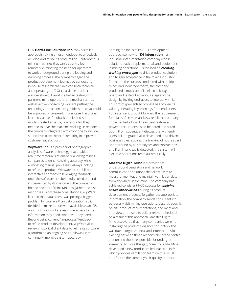- **• HLS Hard-Line Solutions Inc.** took a similar approach, relying on user feedback to effectively develop and refine its product line—autonomous mining machines that can be controlled remotely, eliminating the need for operators to work underground during the loading and dumping process. The company began the product development journey by conducting in-house research that involved both technical and operating staff. Once a viable product was developed, Hard-Line began testing with partners, mine operators, and mechanics—as well as actively observing workers putting the technology into action—to get ideas on what could be improved or tweaked. In one case, Hard-Line learned via user feedback that its "no-sound" model created an issue; operators felt they needed to hear the machine working. In response, the company integrated a microphone to include sound level from the drift, resulting in improved customer satisfaction.
- **• WipWare Inc.** is a provider of photographic analysis software technology that enables real-time material size analysis, allowing mining companies to enhance sizing accuracy while eliminating manual processes. Always looking to refine its product, WipWare took a full-on interactive approach to leveraging feedback: once the software had been fully rolled out and implemented by its customers, the company hosted a series of think tanks to gather end-user responses. From these consultations, WipWare learned that data access was posing a bigger problem for workers than data creation, so it decided to make its software available as an iOS app. This gives workers real-time access to the information they need, whenever they need it. Beyond using current, "in-process" feedback to refine product development, WipWare also reviews historical client data to refine its software algorithm on an ongoing basis, allowing it to continually improve system accuracy.

Shifting the focus of its HCD development approach somewhat, **K4 Integration**—an industrial instrumentation company whose solutions track people, material, and equipment in mining operations—is focused on *creating working prototypes* to drive product evolution and to gain acceptance in the mining industry. Further to the surveys conducted with multiple mines and industry experts, the company produced a mock-up of its electronic tag-in board and tested it at various stages of the design by inviting end-users to interact with it. This prototype-centred process has proven its value, generating key learnings from end-users. For instance, it brought forward the requirement for a fail-safe review and as a result the company implemented a board heartbeat feature so power interruptions could be noted and acted upon. From subsequent discussions with endusers, K4 Integration also developed data driven business rules, such as the tracking of hours spent underground by all employees and contractors; and if an invalid tag is detected, the system will alert the operations team automatically.

**Maestro Digital Mine** is a provider of underground ventilation and network communication solutions that allow users to measure, monitor, and maintain ventilation data from anywhere in the mine. The company has achieved consistent HCD success by *applying onsite observations* during its product development process. To gather the appropriate information, the company sends consultants to personally visit mining operations, observe specific on-site product implementations, and meet and interview end-users to collect relevant feedback. As a result of this approach, Maestro Digital Mine discovered that many companies were not installing the product's diagnostic function; this was due to organizational and information silos existing between those responsible for the control station and those responsible for underground elements. To close this gap, Maestro Digital Mine developed a new product called MaestroLink™, which provides ventilation teams with a visual interface to the company's air quality product.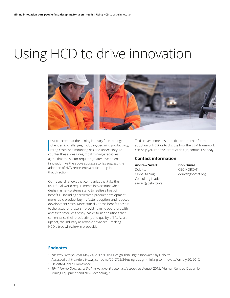### Using HCD to drive innovation



t's no secret that the mining industry faces a range<br>of endemic challenges, including declining producti<br>rising costs, and mounting risk and uncertainty. To<br>counter these pressures, mest mining over this t's no secret that the mining industry faces a range of endemic challenges, including declining productivity, counter these pressures, most mining executives agree that the sector requires greater investment in innovation. As the above success stories suggest, the adoption of HCD represents a critical step in that direction.

Our research shows that companies that take their users' real-world requirements into account when designing new systems stand to realize a host of benefits—including accelerated product development, more rapid product buy-in, faster adoption, and reduced development costs. More critically, these benefits accrue to the actual end-users—providing mine operators with access to safer, less costly, easier-to-use solutions that can enhance their productivity and quality of life. As an upshot, the industry as a whole advances—making HCD a true win/win/win proposition.

To discover some best practice approaches for the adoption of HCD, or to discuss how the BBM framework can help you improve product design, contact us today.

#### **Contact information**

#### **Andrew Swart**

Deloitte Global Mining Consulting Leader aswart@deloitte.ca **Don Duval** CEO NORCAT dduval@norcat.org

#### **Endnotes**

- 1 *The Wall Street Journal*, May 24, 2017. "Using Design Thinking to Innovate," by Deloitte. Accessed at http://deloitte.wsj.com/cmo/2017/05/24/using-design-thinking-to-innovate/ on July 20, 2017.
- <sup>2</sup> Deloitte/Doblin Framework
- 3 *19th Triennial Congress of the International Ergonomics Association*, August 2015. "Human Centred Design for Mining Equipment and New Technology."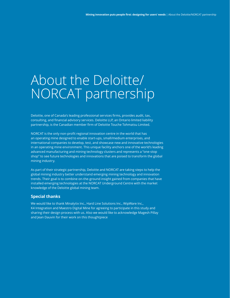### About the Deloitte/ NORCAT partnership

Deloitte, one of Canada's leading professional services firms, provides audit, tax, consulting, and financial advisory services. Deloitte LLP, an Ontario limited liability partnership, is the Canadian member firm of Deloitte Touche Tohmatsu Limited.

NORCAT is the only non-profit regional innovation centre in the world that has an operating mine designed to enable start-ups, small/medium enterprises, and international companies to develop, test, and showcase new and innovative technologies in an operating mine environment. This unique facility anchors one of the world's leading advanced manufacturing and mining technology clusters and represents a "one-stop shop" to see future technologies and innovations that are poised to transform the global mining industry.

As part of their strategic partnership, Deloitte and NORCAT are taking steps to help the global mining industry better understand emerging mining technology and innovation trends. Their goal is to combine on-the-ground insight gained from companies that have installed emerging technologies at the NORCAT Underground Centre with the market knowledge of the Deloitte global mining team.

#### **Special thanks**

We would like to thank Minalytix Inc., Hard Line Solutions Inc., WipWare Inc., K4 Integration and Maestro Digital Mine for agreeing to participate in this study and sharing their design process with us. Also we would like to acknowledge Magesh Pillay and Jean Dauvin for their work on this thoughtpiece